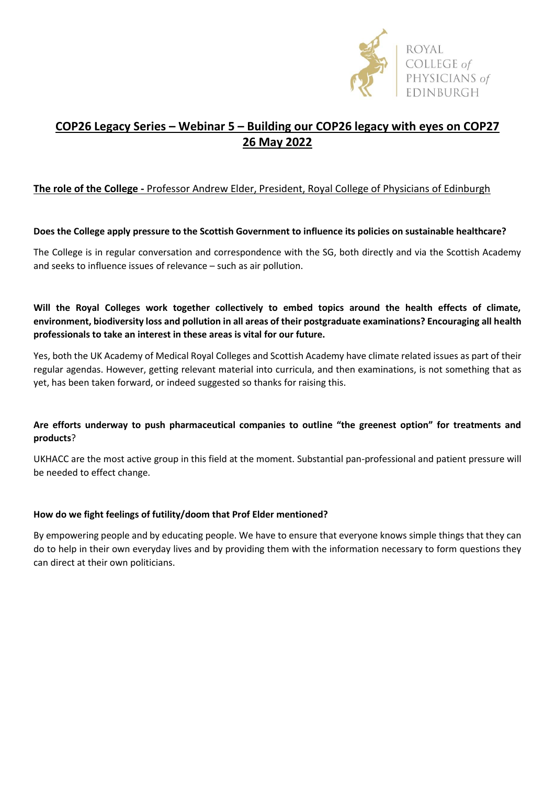

# **COP26 Legacy Series – Webinar 5 – Building our COP26 legacy with eyes on COP27 26 May 2022**

## **The role of the College -** Professor Andrew Elder, President, Royal College of Physicians of Edinburgh

#### **Does the College apply pressure to the Scottish Government to influence its policies on sustainable healthcare?**

The College is in regular conversation and correspondence with the SG, both directly and via the Scottish Academy and seeks to influence issues of relevance – such as air pollution.

### **Will the Royal Colleges work together collectively to embed topics around the health effects of climate, environment, biodiversity loss and pollution in all areas of their postgraduate examinations? Encouraging all health professionals to take an interest in these areas is vital for our future.**

Yes, both the UK Academy of Medical Royal Colleges and Scottish Academy have climate related issues as part of their regular agendas. However, getting relevant material into curricula, and then examinations, is not something that as yet, has been taken forward, or indeed suggested so thanks for raising this.

### **Are efforts underway to push pharmaceutical companies to outline "the greenest option" for treatments and products**?

UKHACC are the most active group in this field at the moment. Substantial pan-professional and patient pressure will be needed to effect change.

#### **How do we fight feelings of futility/doom that Prof Elder mentioned?**

By empowering people and by educating people. We have to ensure that everyone knows simple things that they can do to help in their own everyday lives and by providing them with the information necessary to form questions they can direct at their own politicians.